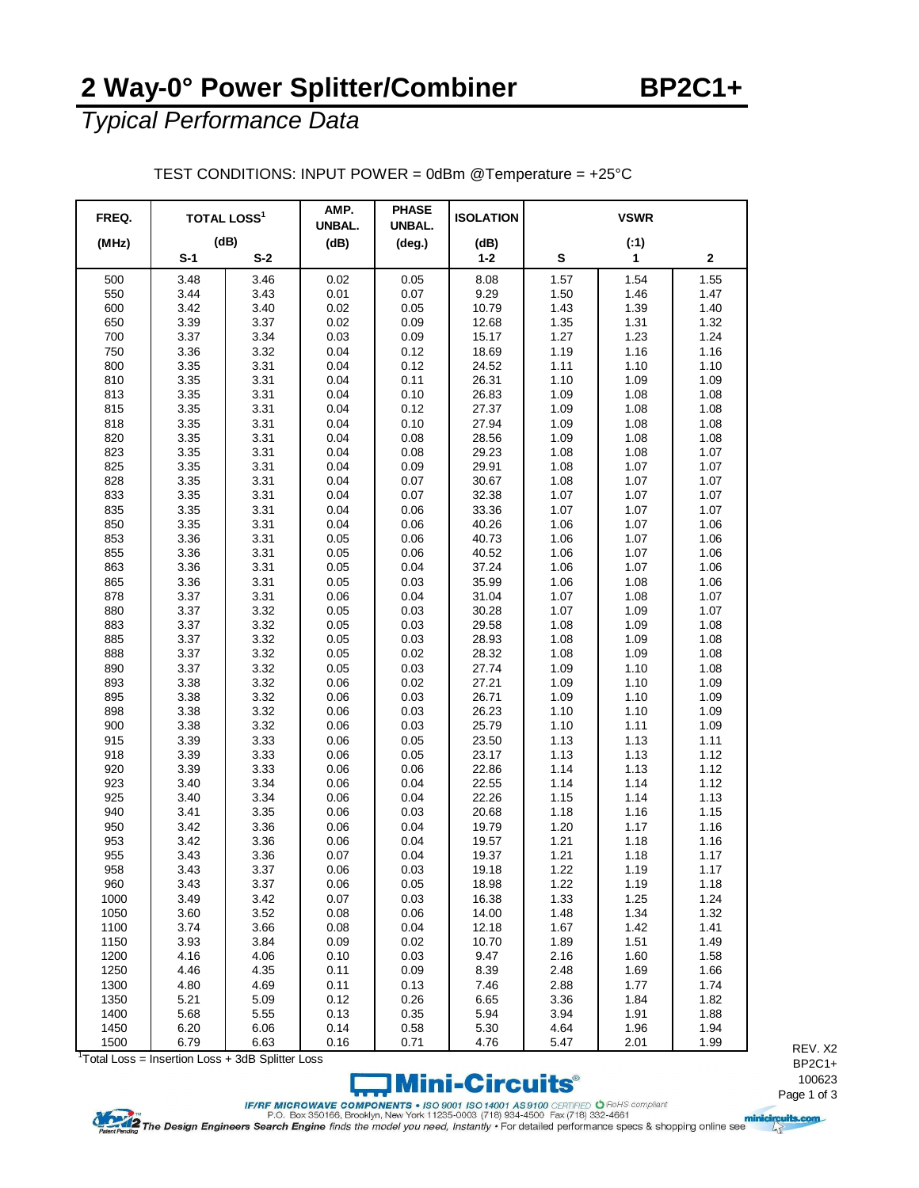## **2 Way-0° Power Splitter/Combiner**

*Typical Performance Data*

| FREQ. | <b>TOTAL LOSS<sup>1</sup></b> |       | AMP.<br>UNBAL. | <b>PHASE</b><br>UNBAL. | <b>ISOLATION</b> |           | <b>VSWR</b>  |      |
|-------|-------------------------------|-------|----------------|------------------------|------------------|-----------|--------------|------|
| (MHz) | (dB)                          |       | (dB)           | $(\text{deg.})$        | (dB)             | (:1)      |              |      |
|       | $S-1$                         | $S-2$ |                |                        | $1 - 2$          | ${\bf s}$ | $\mathbf{1}$ | 2    |
| 500   | 3.48                          | 3.46  | 0.02           | 0.05                   | 8.08             | 1.57      | 1.54         | 1.55 |
| 550   | 3.44                          | 3.43  | 0.01           | 0.07                   | 9.29             | 1.50      | 1.46         | 1.47 |
| 600   | 3.42                          | 3.40  | 0.02           | 0.05                   | 10.79            | 1.43      | 1.39         | 1.40 |
| 650   | 3.39                          | 3.37  | 0.02           | 0.09                   | 12.68            | 1.35      | 1.31         | 1.32 |
| 700   | 3.37                          | 3.34  | 0.03           | 0.09                   | 15.17            | 1.27      | 1.23         | 1.24 |
| 750   | 3.36                          | 3.32  | 0.04           | 0.12                   | 18.69            | 1.19      | 1.16         | 1.16 |
| 800   | 3.35                          | 3.31  | 0.04           | 0.12                   | 24.52            | 1.11      | 1.10         | 1.10 |
| 810   | 3.35                          | 3.31  | 0.04           | 0.11                   | 26.31            | 1.10      | 1.09         | 1.09 |
| 813   | 3.35                          | 3.31  | 0.04           | 0.10                   | 26.83            | 1.09      | 1.08         | 1.08 |
| 815   | 3.35                          | 3.31  | 0.04           | 0.12                   | 27.37            | 1.09      | 1.08         | 1.08 |
| 818   | 3.35                          | 3.31  | 0.04           | 0.10                   | 27.94            | 1.09      | 1.08         | 1.08 |
| 820   | 3.35                          | 3.31  | 0.04           | 0.08                   | 28.56            | 1.09      | 1.08         | 1.08 |
| 823   | 3.35                          | 3.31  | 0.04           | 0.08                   | 29.23            | 1.08      | 1.08         | 1.07 |
| 825   | 3.35                          | 3.31  | 0.04           | 0.09                   | 29.91            | 1.08      | 1.07         | 1.07 |
| 828   | 3.35                          | 3.31  | 0.04           | 0.07                   | 30.67            | 1.08      | 1.07         | 1.07 |
| 833   | 3.35                          | 3.31  | 0.04           | 0.07                   | 32.38            | 1.07      | 1.07         | 1.07 |
| 835   | 3.35                          | 3.31  | 0.04           | 0.06                   | 33.36            | 1.07      | 1.07         | 1.07 |
| 850   | 3.35                          | 3.31  | 0.04           | 0.06                   | 40.26            | 1.06      | 1.07         | 1.06 |
| 853   | 3.36                          | 3.31  | 0.05           | 0.06                   | 40.73            | 1.06      | 1.07         | 1.06 |
| 855   | 3.36                          | 3.31  | 0.05           | 0.06                   | 40.52            | 1.06      | 1.07         | 1.06 |
| 863   | 3.36                          | 3.31  | 0.05           | 0.04                   | 37.24            | 1.06      | 1.07         | 1.06 |
| 865   | 3.36                          | 3.31  | 0.05           | 0.03                   | 35.99            | 1.06      | 1.08         | 1.06 |
| 878   | 3.37                          | 3.31  | 0.06           | 0.04                   | 31.04            | 1.07      | 1.08         | 1.07 |
| 880   | 3.37                          | 3.32  | 0.05           | 0.03                   | 30.28            | 1.07      | 1.09         | 1.07 |
| 883   | 3.37                          | 3.32  | 0.05           | 0.03                   | 29.58            | 1.08      | 1.09         | 1.08 |
| 885   | 3.37                          | 3.32  | 0.05           | 0.03                   | 28.93            | 1.08      | 1.09         | 1.08 |
| 888   | 3.37                          | 3.32  | 0.05           | 0.02                   | 28.32            | 1.08      | 1.09         | 1.08 |
| 890   | 3.37                          | 3.32  | 0.05           | 0.03                   | 27.74            | 1.09      | 1.10         | 1.08 |
| 893   | 3.38                          | 3.32  | 0.06           | 0.02                   | 27.21            | 1.09      | 1.10         | 1.09 |
| 895   | 3.38                          | 3.32  | 0.06           | 0.03                   | 26.71            | 1.09      | 1.10         | 1.09 |
| 898   | 3.38                          | 3.32  | 0.06           | 0.03                   | 26.23            | 1.10      | 1.10         | 1.09 |
| 900   | 3.38                          | 3.32  | 0.06           | 0.03                   | 25.79            | 1.10      | 1.11         | 1.09 |
| 915   | 3.39                          | 3.33  | 0.06           | 0.05                   | 23.50            | 1.13      | 1.13         | 1.11 |
| 918   | 3.39                          | 3.33  | 0.06           | 0.05                   | 23.17            | 1.13      | 1.13         | 1.12 |
| 920   | 3.39                          | 3.33  | 0.06           | 0.06                   | 22.86            | 1.14      | 1.13         | 1.12 |
| 923   | 3.40                          | 3.34  | 0.06           | 0.04                   | 22.55            | 1.14      | 1.14         | 1.12 |
| 925   | 3.40                          | 3.34  | 0.06           | 0.04                   | 22.26            | 1.15      | 1.14         | 1.13 |
| 940   | 3.41                          | 3.35  | 0.06           | 0.03                   | 20.68            | 1.18      | 1.16         | 1.15 |
| 950   | 3.42                          | 3.36  | 0.06           | 0.04                   | 19.79            | 1.20      | 1.17         | 1.16 |
| 953   | 3.42                          | 3.36  | 0.06           | 0.04                   | 19.57            | 1.21      | 1.18         | 1.16 |
| 955   | 3.43                          | 3.36  | 0.07           | 0.04                   | 19.37            | 1.21      | 1.18         | 1.17 |
| 958   | 3.43                          | 3.37  | 0.06           | 0.03                   | 19.18            | 1.22      | 1.19         | 1.17 |
| 960   | 3.43                          | 3.37  | 0.06           | 0.05                   | 18.98            | 1.22      | 1.19         | 1.18 |
| 1000  | 3.49                          | 3.42  | 0.07           | 0.03                   | 16.38            | 1.33      | 1.25         | 1.24 |
| 1050  | 3.60                          | 3.52  | 0.08           | 0.06                   | 14.00            | 1.48      | 1.34         | 1.32 |
| 1100  | 3.74                          | 3.66  | 0.08           | 0.04                   | 12.18            | 1.67      | 1.42         | 1.41 |
| 1150  | 3.93                          | 3.84  | 0.09           | 0.02                   | 10.70            | 1.89      | 1.51         | 1.49 |
| 1200  | 4.16                          | 4.06  | 0.10           | 0.03                   | 9.47             | 2.16      | 1.60         | 1.58 |
| 1250  | 4.46                          | 4.35  | 0.11           | 0.09                   | 8.39             | 2.48      | 1.69         | 1.66 |
| 1300  | 4.80                          | 4.69  | 0.11           | 0.13                   | 7.46             | 2.88      | 1.77         | 1.74 |
| 1350  | 5.21                          | 5.09  | 0.12           | 0.26                   | 6.65             | 3.36      | 1.84         | 1.82 |
| 1400  | 5.68                          | 5.55  | 0.13           | 0.35                   | 5.94             | 3.94      | 1.91         | 1.88 |
| 1450  | 6.20                          | 6.06  | 0.14           | 0.58                   | 5.30             | 4.64      | 1.96         | 1.94 |

TEST CONDITIONS: INPUT POWER = 0dBm @Temperature = +25°C

<sup>1</sup> Total Loss = Insertion Loss + 3dB Splitter Loss



REV. X2 BP2C1+ 

FIND TO THE TRANSPORTED OF BOARD CONTINUES ON BOARD CONTINUES ON BOARD CONTINUES ON BOARD CONTINUES ON BOARD CONTINUES ON BOARD CONTINUES ON BOARD CONTINUES ON BOARD CONTINUES ON BOARD TO DURING THE PAGE 1 OF 383-4661<br>Page

1500 | 6.79 | 6.63 | 0.16 | 0.71 | 4.76 | 5.47 | 2.01 | 1.99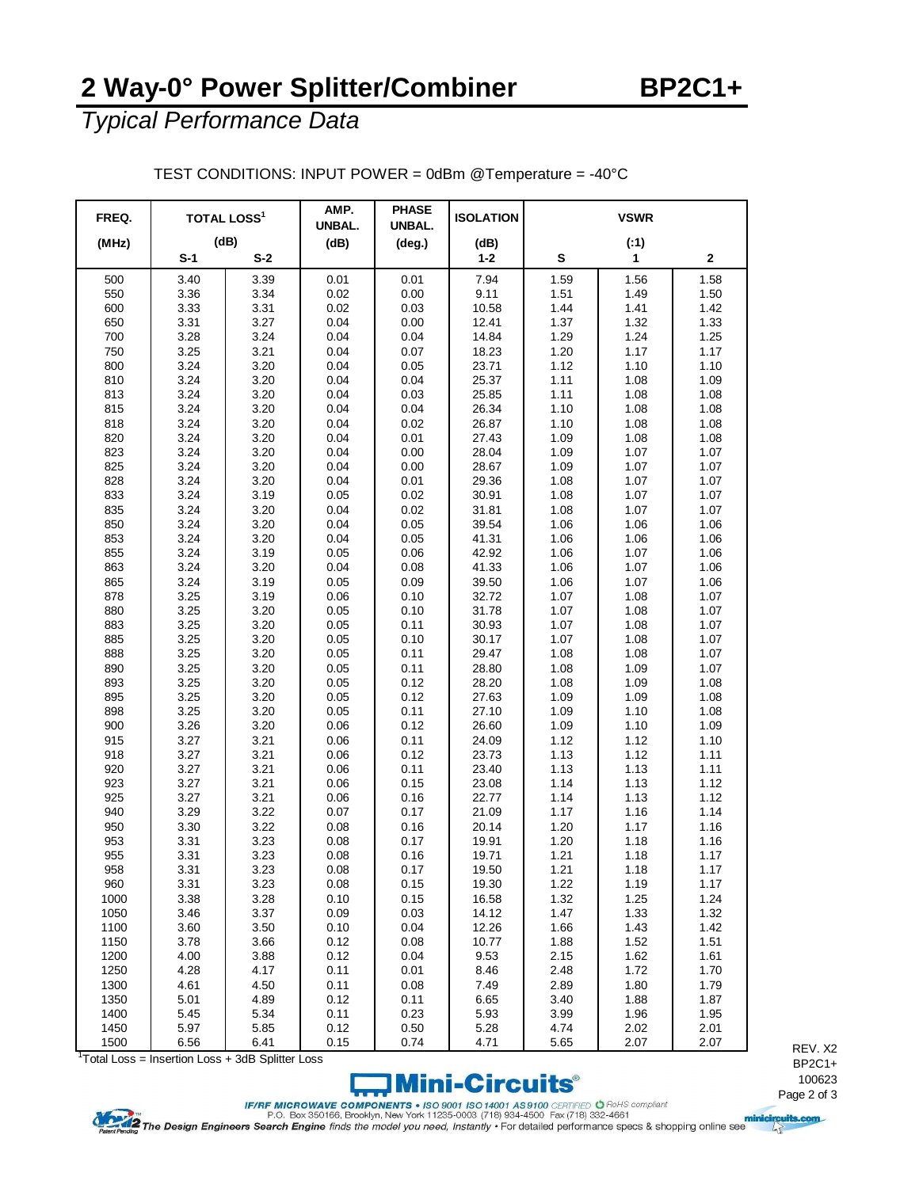## **2 Way-0° Power Splitter/Combiner BP2C1+**

*Typical Performance Data*

| FREQ. | <b>TOTAL LOSS<sup>1</sup></b> |       | AMP.<br>UNBAL. | <b>PHASE</b><br>UNBAL. | <b>ISOLATION</b> | <b>VSWR</b> |      |      |
|-------|-------------------------------|-------|----------------|------------------------|------------------|-------------|------|------|
| (MHz) | (dB)                          |       | (dB)           | (deg.)                 | (dB)             |             | (:1) |      |
|       | $S-1$                         | $S-2$ |                |                        | $1 - 2$          | S           | 1    | 2    |
| 500   | 3.40                          | 3.39  | 0.01           | 0.01                   | 7.94             | 1.59        | 1.56 | 1.58 |
| 550   | 3.36                          | 3.34  | 0.02           | 0.00                   | 9.11             | 1.51        | 1.49 | 1.50 |
| 600   | 3.33                          | 3.31  | 0.02           | 0.03                   | 10.58            | 1.44        | 1.41 | 1.42 |
| 650   | 3.31                          | 3.27  | 0.04           | 0.00                   | 12.41            | 1.37        | 1.32 | 1.33 |
| 700   | 3.28                          | 3.24  | 0.04           | 0.04                   | 14.84            | 1.29        | 1.24 | 1.25 |
| 750   | 3.25                          | 3.21  | 0.04           | 0.07                   | 18.23            | 1.20        | 1.17 | 1.17 |
| 800   | 3.24                          | 3.20  | 0.04           | 0.05                   | 23.71            | 1.12        | 1.10 | 1.10 |
| 810   | 3.24                          | 3.20  | 0.04           | 0.04                   | 25.37            | 1.11        | 1.08 | 1.09 |
| 813   | 3.24                          | 3.20  | 0.04           | 0.03                   | 25.85            | 1.11        | 1.08 | 1.08 |
| 815   | 3.24                          | 3.20  | 0.04           | 0.04                   | 26.34            | 1.10        | 1.08 | 1.08 |
| 818   | 3.24                          | 3.20  | 0.04           | 0.02                   | 26.87            | 1.10        | 1.08 | 1.08 |
| 820   | 3.24                          | 3.20  | 0.04           | 0.01                   | 27.43            | 1.09        | 1.08 | 1.08 |
| 823   | 3.24                          | 3.20  | 0.04           | 0.00                   | 28.04            | 1.09        | 1.07 | 1.07 |
| 825   | 3.24                          | 3.20  | 0.04           | 0.00                   | 28.67            | 1.09        | 1.07 | 1.07 |
| 828   | 3.24                          | 3.20  | 0.04           | 0.01                   | 29.36            | 1.08        | 1.07 | 1.07 |
| 833   | 3.24                          | 3.19  | 0.05           | 0.02                   | 30.91            | 1.08        | 1.07 | 1.07 |
| 835   | 3.24                          | 3.20  | 0.04           | 0.02                   | 31.81            | 1.08        | 1.07 | 1.07 |
| 850   | 3.24                          | 3.20  | 0.04           | 0.05                   | 39.54            | 1.06        | 1.06 | 1.06 |
| 853   | 3.24                          | 3.20  | 0.04           | 0.05                   | 41.31            | 1.06        | 1.06 | 1.06 |
| 855   | 3.24                          | 3.19  | 0.05           | 0.06                   | 42.92            | 1.06        | 1.07 | 1.06 |
| 863   | 3.24                          | 3.20  | 0.04           | 0.08                   | 41.33            | 1.06        | 1.07 | 1.06 |
| 865   | 3.24                          | 3.19  | 0.05           | 0.09                   | 39.50            | 1.06        | 1.07 | 1.06 |
| 878   | 3.25                          | 3.19  | 0.06           | 0.10                   | 32.72            | 1.07        | 1.08 | 1.07 |
| 880   | 3.25                          | 3.20  | 0.05           | 0.10                   | 31.78            | 1.07        | 1.08 | 1.07 |
| 883   | 3.25                          | 3.20  | 0.05           | 0.11                   | 30.93            | 1.07        | 1.08 | 1.07 |
| 885   | 3.25                          | 3.20  | 0.05           | 0.10                   | 30.17            | 1.07        | 1.08 | 1.07 |
| 888   | 3.25                          | 3.20  | 0.05           | 0.11                   | 29.47            | 1.08        | 1.08 | 1.07 |
| 890   | 3.25                          | 3.20  | 0.05           | 0.11                   | 28.80            | 1.08        | 1.09 | 1.07 |
| 893   | 3.25                          | 3.20  | 0.05           | 0.12                   | 28.20            | 1.08        | 1.09 | 1.08 |
| 895   | 3.25                          | 3.20  | 0.05           | 0.12                   | 27.63            | 1.09        | 1.09 | 1.08 |
| 898   | 3.25                          | 3.20  | 0.05           | 0.11                   | 27.10            | 1.09        | 1.10 | 1.08 |
| 900   | 3.26                          | 3.20  | 0.06           | 0.12                   | 26.60            | 1.09        | 1.10 | 1.09 |
| 915   | 3.27                          | 3.21  | 0.06           | 0.11                   | 24.09            | 1.12        | 1.12 | 1.10 |
| 918   | 3.27                          | 3.21  | 0.06           | 0.12                   | 23.73            | 1.13        | 1.12 | 1.11 |
| 920   | 3.27                          | 3.21  | 0.06           | 0.11                   | 23.40            | 1.13        | 1.13 | 1.11 |
| 923   | 3.27                          | 3.21  | 0.06           | 0.15                   | 23.08            | 1.14        | 1.13 | 1.12 |
| 925   | 3.27                          | 3.21  | 0.06           | 0.16                   | 22.77            | 1.14        | 1.13 | 1.12 |
| 940   | 3.29                          | 3.22  | 0.07           | 0.17                   | 21.09            | 1.17        | 1.16 | 1.14 |
| 950   | 3.30                          | 3.22  | 0.08           | 0.16                   | 20.14            | 1.20        | 1.17 | 1.16 |
| 953   | 3.31                          | 3.23  | 0.08           | 0.17                   | 19.91            | 1.20        | 1.18 | 1.16 |
| 955   | 3.31                          | 3.23  | 0.08           | 0.16                   | 19.71            | 1.21        | 1.18 | 1.17 |
| 958   | 3.31                          | 3.23  | 0.08           | 0.17                   | 19.50            | 1.21        | 1.18 | 1.17 |
| 960   | 3.31                          | 3.23  | 0.08           | 0.15                   | 19.30            | 1.22        | 1.19 | 1.17 |
| 1000  | 3.38                          | 3.28  | 0.10           | 0.15                   | 16.58            | 1.32        | 1.25 | 1.24 |
| 1050  | 3.46                          | 3.37  | 0.09           | 0.03                   | 14.12            | 1.47        | 1.33 | 1.32 |
| 1100  | 3.60                          | 3.50  | 0.10           | 0.04                   | 12.26            | 1.66        | 1.43 | 1.42 |
| 1150  | 3.78                          | 3.66  | 0.12           | 0.08                   | 10.77            | 1.88        | 1.52 | 1.51 |
| 1200  | 4.00                          | 3.88  | 0.12           | 0.04                   | 9.53             | 2.15        | 1.62 | 1.61 |
| 1250  | 4.28                          | 4.17  | 0.11           | 0.01                   | 8.46             | 2.48        | 1.72 | 1.70 |
| 1300  | 4.61                          | 4.50  | 0.11           | 0.08                   | 7.49             | 2.89        | 1.80 | 1.79 |
| 1350  | 5.01                          | 4.89  | 0.12           | 0.11                   | 6.65             | 3.40        | 1.88 | 1.87 |
| 1400  | 5.45                          | 5.34  | 0.11           | 0.23                   | 5.93             | 3.99        | 1.96 | 1.95 |
| 1450  | 5.97                          | 5.85  | 0.12           | 0.50                   | 5.28             | 4.74        | 2.02 | 2.01 |

TEST CONDITIONS: INPUT POWER = 0dBm @Temperature = -40°C

<sup>1</sup> Total Loss = Insertion Loss + 3dB Splitter Loss



REV. X2 BP2C1+ 

FINE MICROWAVE COMPONENTS . ISO 9001 ISO 14001 AS 9100 CERTIFIED O Rolls Compliant<br>P.O. Box 350166, Brooklyn, New York 11235-0003 (718) 934-4500 Fax (718) 332-4661<br>Pagent Pagding The Design Engineers Search Engine finds th

1500 6.56 6.41 0.15 0.74 4.71 5.65 2.07 2.07